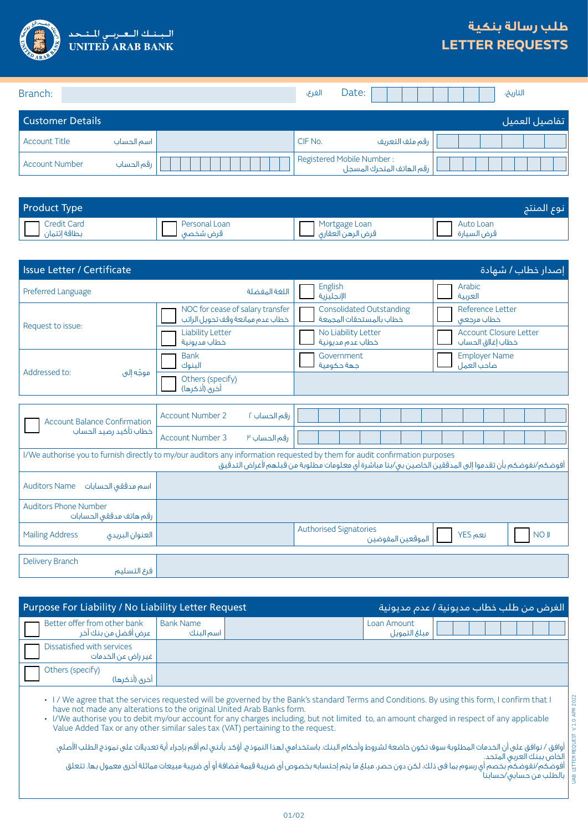

## **طلب رسالة بنكية LETTER REQUESTS**

| Branch:                 |            | الفرع:                    | Date: |                           | التاريخ:      |
|-------------------------|------------|---------------------------|-------|---------------------------|---------------|
| <b>Customer Details</b> |            |                           |       |                           | تفاصيل العميل |
| <b>Account Title</b>    | اسم الحساب | CIF No.                   |       | رقم ملف التعريف           |               |
| <b>Account Number</b>   | رقم الحساب | Registered Mobile Number: |       | رقم الهاتف المتحرك المسجل |               |

| <b>Product Type</b>   |               |                                    | نوع المنتج  |
|-----------------------|---------------|------------------------------------|-------------|
| Credit Card           | Personal Loan | Mortgage Loan<br>قرض الرهن العقاري | Auto Loan   |
| بطاقة إئتمان لـــــــ |               |                                    | قرض السيارة |

| <b>Issue Letter / Certificate</b>                                                                                                                                                                                                    |                                                                      |                                                            | إصدار خطاب <i>ا</i> شهادة                          |  |  |
|--------------------------------------------------------------------------------------------------------------------------------------------------------------------------------------------------------------------------------------|----------------------------------------------------------------------|------------------------------------------------------------|----------------------------------------------------|--|--|
| Preferred Language                                                                                                                                                                                                                   | اللغة المفضلة                                                        | English<br>الإنجليزية                                      | Arabic<br>العربية                                  |  |  |
|                                                                                                                                                                                                                                      | NOC for cease of salary transfer<br>خطاب عدم ممانعة وقف تحويل الراتب | <b>Consolidated Outstanding</b><br>خطاب بالمستحقات المحمعة | Reference Letter<br>خطاب مرجعى                     |  |  |
| Request to issue:                                                                                                                                                                                                                    | <b>Liability Letter</b><br>خطاب مديونية                              | No Liability Letter<br>خطاب عدم مديونية                    | <b>Account Closure Letter</b><br>خطاب إغلاق الحساب |  |  |
| Addressed to:<br>موجّه إلى                                                                                                                                                                                                           | <b>Bank</b><br>البنوك                                                | Government<br>جهة حكومية                                   | <b>Employer Name</b><br>صاحب العمل                 |  |  |
|                                                                                                                                                                                                                                      | Others (specify)<br>أخرى (أذكرها)                                    |                                                            |                                                    |  |  |
|                                                                                                                                                                                                                                      |                                                                      |                                                            |                                                    |  |  |
| <b>Account Balance Confirmation</b>                                                                                                                                                                                                  | <b>Account Number 2</b><br>رقم الحساب ٢                              |                                                            |                                                    |  |  |
| خطاب تأكيد رصيد الحساب                                                                                                                                                                                                               | <b>Account Number 3</b><br>رقم الحساب ٣                              |                                                            |                                                    |  |  |
| I/We authorise you to furnish directly to my/our auditors any information requested by them for audit confirmation purposes<br>أفوضكم/نفوضكم بأن تقدموا إلى المدققين الخاصين بى/بنا مباشرة أى معلومات مطلوبة من قبلهم لأغراض التدقيق |                                                                      |                                                            |                                                    |  |  |
| <b>Auditors Name</b><br>اسم مدققى الحسابات                                                                                                                                                                                           |                                                                      |                                                            |                                                    |  |  |
| <b>Auditors Phone Number</b><br>رقم هاتف مدققى الحسابات                                                                                                                                                                              |                                                                      |                                                            |                                                    |  |  |
| <b>Mailing Address</b><br>العنوان البريدى                                                                                                                                                                                            |                                                                      | <b>Authorised Signatories</b><br>الموقعين المفوضين         | نعم YES<br><b>NO J</b>                             |  |  |
|                                                                                                                                                                                                                                      |                                                                      |                                                            |                                                    |  |  |
| Delivery Branch<br>فرع التسليم                                                                                                                                                                                                       |                                                                      |                                                            |                                                    |  |  |

| Purpose For Liability / No Liability Letter Request                                                                                                                                                                                                                                                                                                                                                                                                                                                                                                                                                                                                                                                                                                                                                                                                                         |                               |  | الغرض من طلب خطاب مديونية / عدم مديونية |  |  |
|-----------------------------------------------------------------------------------------------------------------------------------------------------------------------------------------------------------------------------------------------------------------------------------------------------------------------------------------------------------------------------------------------------------------------------------------------------------------------------------------------------------------------------------------------------------------------------------------------------------------------------------------------------------------------------------------------------------------------------------------------------------------------------------------------------------------------------------------------------------------------------|-------------------------------|--|-----------------------------------------|--|--|
| Better offer from other bank<br>عرض أفضل من بنك آخر                                                                                                                                                                                                                                                                                                                                                                                                                                                                                                                                                                                                                                                                                                                                                                                                                         | <b>Bank Name</b><br>اسم البنك |  | Loan Amount<br>مبلغ التمويل             |  |  |
| Dissatisfied with services<br>غير راض عن الخدمات                                                                                                                                                                                                                                                                                                                                                                                                                                                                                                                                                                                                                                                                                                                                                                                                                            |                               |  |                                         |  |  |
| Others (specify)<br>أخرى (أذكرها)                                                                                                                                                                                                                                                                                                                                                                                                                                                                                                                                                                                                                                                                                                                                                                                                                                           |                               |  |                                         |  |  |
| V.1.0 APR 2022<br>• I/We agree that the services requested will be governed by the Bank's standard Terms and Conditions. By using this form, I confirm that I<br>have not made any alterations to the original United Arab Banks form.<br>· I/We authorise you to debit my/our account for any charges including, but not limited to, an amount charged in respect of any applicable<br>Value Added Tax or any other similar sales tax (VAT) pertaining to the request.<br>أوافق / نوافق على أن الخدمات المطلوبة سوف تكون خاضعة لشروط وأحكام البنك. باستخدامى لهذا النموذج، أؤكد بأننى لم أقم بإجراء أية تعديلات على نموذج الطلب الأصلى<br>#   الخاص ببنك العربي المتحد.<br>  أفوضكم/نفوضكم بخصم أي رسوم بما في ذلك، لكن دون حصر، مبلغ ما يتم إحتسابه بخصوص أي ضريبة قيمة مُضافة أو أي ضريبة مبيعات مماثلة أخرى معمول بها. تتعلق<br>﴾   بالطلب من حسابی/حسابنا <sup>'</sup> |                               |  |                                         |  |  |